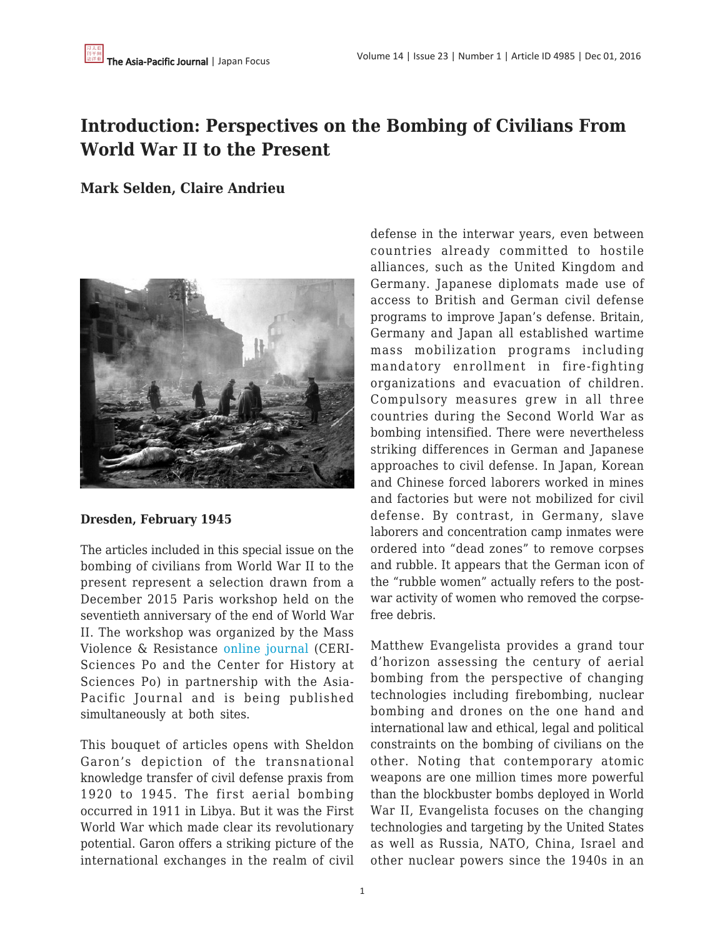# **Introduction: Perspectives on the Bombing of Civilians From World War II to the Present**

## **Mark Selden, Claire Andrieu**



#### **Dresden, February 1945**

The articles included in this special issue on the bombing of civilians from World War II to the present represent a selection drawn from a December 2015 Paris workshop held on the seventieth anniversary of the end of World War II. The workshop was organized by the Mass Violence & Resistance [online journal](http://www.sciencespo.fr/mass-violence-war-massacre-resistance/en) (CERI-Sciences Po and the Center for History at Sciences Po) in partnership with the Asia-Pacific Journal and is being published simultaneously at both sites.

This bouquet of articles opens with Sheldon Garon's depiction of the transnational knowledge transfer of civil defense praxis from 1920 to 1945. The first aerial bombing occurred in 1911 in Libya. But it was the First World War which made clear its revolutionary potential. Garon offers a striking picture of the international exchanges in the realm of civil defense in the interwar years, even between countries already committed to hostile alliances, such as the United Kingdom and Germany. Japanese diplomats made use of access to British and German civil defense programs to improve Japan's defense. Britain, Germany and Japan all established wartime mass mobilization programs including mandatory enrollment in fire-fighting organizations and evacuation of children. Compulsory measures grew in all three countries during the Second World War as bombing intensified. There were nevertheless striking differences in German and Japanese approaches to civil defense. In Japan, Korean and Chinese forced laborers worked in mines and factories but were not mobilized for civil defense. By contrast, in Germany, slave laborers and concentration camp inmates were ordered into "dead zones" to remove corpses and rubble. It appears that the German icon of the "rubble women" actually refers to the postwar activity of women who removed the corpsefree debris.

Matthew Evangelista provides a grand tour d'horizon assessing the century of aerial bombing from the perspective of changing technologies including firebombing, nuclear bombing and drones on the one hand and international law and ethical, legal and political constraints on the bombing of civilians on the other. Noting that contemporary atomic weapons are one million times more powerful than the blockbuster bombs deployed in World War II, Evangelista focuses on the changing technologies and targeting by the United States as well as Russia, NATO, China, Israel and other nuclear powers since the 1940s in an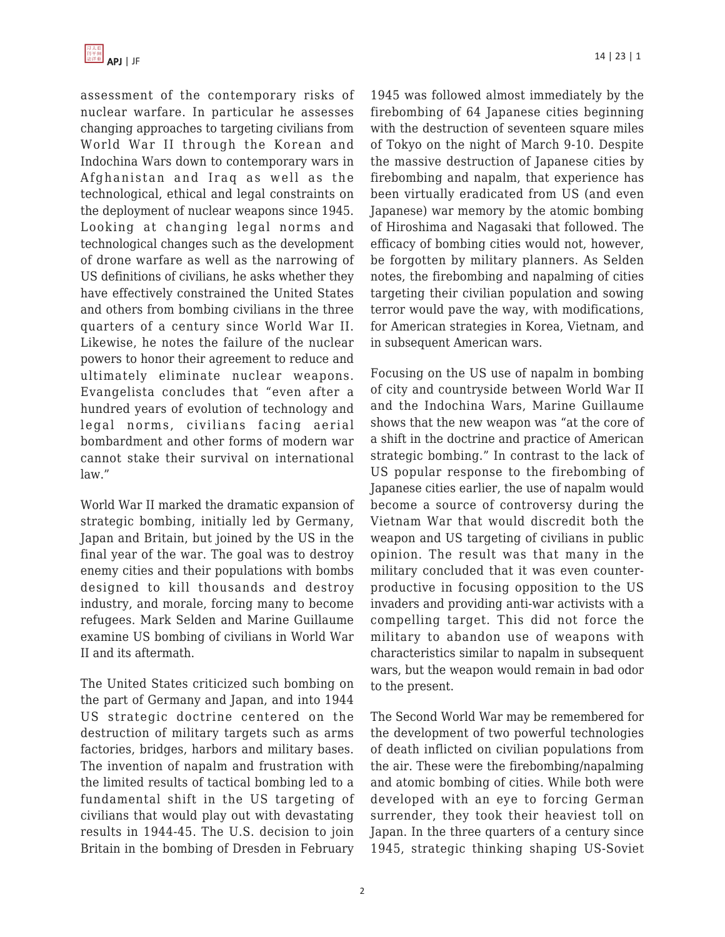assessment of the contemporary risks of nuclear warfare. In particular he assesses changing approaches to targeting civilians from World War II through the Korean and Indochina Wars down to contemporary wars in Afghanistan and Iraq as well as the technological, ethical and legal constraints on the deployment of nuclear weapons since 1945. Looking at changing legal norms and technological changes such as the development of drone warfare as well as the narrowing of US definitions of civilians, he asks whether they have effectively constrained the United States and others from bombing civilians in the three quarters of a century since World War II. Likewise, he notes the failure of the nuclear powers to honor their agreement to reduce and ultimately eliminate nuclear weapons. Evangelista concludes that "even after a hundred years of evolution of technology and legal norms, civilians facing aerial bombardment and other forms of modern war cannot stake their survival on international law."

World War II marked the dramatic expansion of strategic bombing, initially led by Germany, Japan and Britain, but joined by the US in the final year of the war. The goal was to destroy enemy cities and their populations with bombs designed to kill thousands and destroy industry, and morale, forcing many to become refugees. Mark Selden and Marine Guillaume examine US bombing of civilians in World War II and its aftermath.

The United States criticized such bombing on the part of Germany and Japan, and into 1944 US strategic doctrine centered on the destruction of military targets such as arms factories, bridges, harbors and military bases. The invention of napalm and frustration with the limited results of tactical bombing led to a fundamental shift in the US targeting of civilians that would play out with devastating results in 1944-45. The U.S. decision to join Britain in the bombing of Dresden in February 1945 was followed almost immediately by the firebombing of 64 Japanese cities beginning with the destruction of seventeen square miles of Tokyo on the night of March 9-10. Despite the massive destruction of Japanese cities by firebombing and napalm, that experience has been virtually eradicated from US (and even Japanese) war memory by the atomic bombing of Hiroshima and Nagasaki that followed. The efficacy of bombing cities would not, however, be forgotten by military planners. As Selden notes, the firebombing and napalming of cities targeting their civilian population and sowing terror would pave the way, with modifications, for American strategies in Korea, Vietnam, and in subsequent American wars.

Focusing on the US use of napalm in bombing of city and countryside between World War II and the Indochina Wars, Marine Guillaume shows that the new weapon was "at the core of a shift in the doctrine and practice of American strategic bombing." In contrast to the lack of US popular response to the firebombing of Japanese cities earlier, the use of napalm would become a source of controversy during the Vietnam War that would discredit both the weapon and US targeting of civilians in public opinion. The result was that many in the military concluded that it was even counterproductive in focusing opposition to the US invaders and providing anti-war activists with a compelling target. This did not force the military to abandon use of weapons with characteristics similar to napalm in subsequent wars, but the weapon would remain in bad odor to the present.

The Second World War may be remembered for the development of two powerful technologies of death inflicted on civilian populations from the air. These were the firebombing/napalming and atomic bombing of cities. While both were developed with an eye to forcing German surrender, they took their heaviest toll on Japan. In the three quarters of a century since 1945, strategic thinking shaping US-Soviet